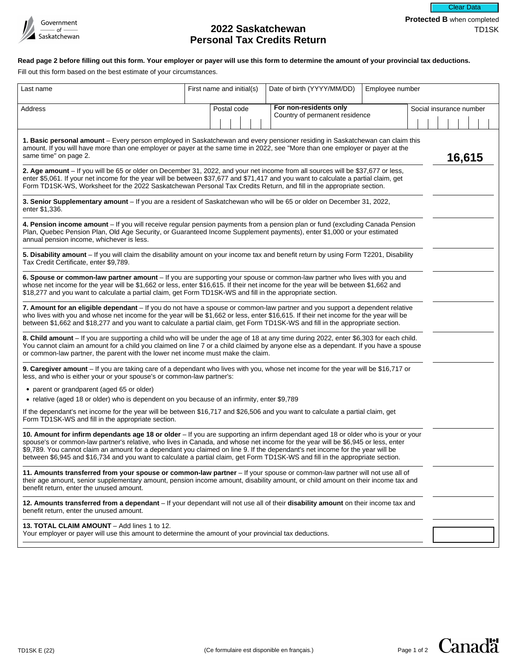

# **2022 Saskatchewan <b>TD1SK Personal Tax Credits Return**

Clear Data

# **Read page 2 before filling out this form. Your employer or payer will use this form to determine the amount of your provincial tax deductions.**

Fill out this form based on the best estimate of your circumstances.

| Last name                                                                                                                                                                                                                                                                                                                                                                                                                                                                                                                                | First name and initial(s) |             |  |  | Date of birth (YYYY/MM/DD)     | Employee number |                         |  |  |  |        |  |
|------------------------------------------------------------------------------------------------------------------------------------------------------------------------------------------------------------------------------------------------------------------------------------------------------------------------------------------------------------------------------------------------------------------------------------------------------------------------------------------------------------------------------------------|---------------------------|-------------|--|--|--------------------------------|-----------------|-------------------------|--|--|--|--------|--|
| Address                                                                                                                                                                                                                                                                                                                                                                                                                                                                                                                                  |                           | Postal code |  |  | For non-residents only         |                 | Social insurance number |  |  |  |        |  |
|                                                                                                                                                                                                                                                                                                                                                                                                                                                                                                                                          |                           |             |  |  | Country of permanent residence |                 |                         |  |  |  |        |  |
| 1. Basic personal amount - Every person employed in Saskatchewan and every pensioner residing in Saskatchewan can claim this<br>amount. If you will have more than one employer or payer at the same time in 2022, see "More than one employer or payer at the<br>same time" on page 2.                                                                                                                                                                                                                                                  |                           |             |  |  |                                |                 |                         |  |  |  | 16,615 |  |
| 2. Age amount - If you will be 65 or older on December 31, 2022, and your net income from all sources will be \$37,677 or less,<br>enter \$5,061. If your net income for the year will be between \$37,677 and \$71,417 and you want to calculate a partial claim, get<br>Form TD1SK-WS, Worksheet for the 2022 Saskatchewan Personal Tax Credits Return, and fill in the appropriate section.                                                                                                                                           |                           |             |  |  |                                |                 |                         |  |  |  |        |  |
| 3. Senior Supplementary amount - If you are a resident of Saskatchewan who will be 65 or older on December 31, 2022,<br>enter \$1,336.                                                                                                                                                                                                                                                                                                                                                                                                   |                           |             |  |  |                                |                 |                         |  |  |  |        |  |
| 4. Pension income amount - If you will receive regular pension payments from a pension plan or fund (excluding Canada Pension<br>Plan, Quebec Pension Plan, Old Age Security, or Guaranteed Income Supplement payments), enter \$1,000 or your estimated<br>annual pension income, whichever is less.                                                                                                                                                                                                                                    |                           |             |  |  |                                |                 |                         |  |  |  |        |  |
| 5. Disability amount – If you will claim the disability amount on your income tax and benefit return by using Form T2201, Disability<br>Tax Credit Certificate, enter \$9,789.                                                                                                                                                                                                                                                                                                                                                           |                           |             |  |  |                                |                 |                         |  |  |  |        |  |
| 6. Spouse or common-law partner amount - If you are supporting your spouse or common-law partner who lives with you and<br>whose net income for the year will be \$1,662 or less, enter \$16,615. If their net income for the year will be between \$1,662 and<br>\$18,277 and you want to calculate a partial claim, get Form TD1SK-WS and fill in the appropriate section.                                                                                                                                                             |                           |             |  |  |                                |                 |                         |  |  |  |        |  |
| 7. Amount for an eligible dependant - If you do not have a spouse or common-law partner and you support a dependent relative<br>who lives with you and whose net income for the year will be \$1,662 or less, enter \$16,615. If their net income for the year will be<br>between \$1,662 and \$18,277 and you want to calculate a partial claim, get Form TD1SK-WS and fill in the appropriate section.                                                                                                                                 |                           |             |  |  |                                |                 |                         |  |  |  |        |  |
| 8. Child amount - If you are supporting a child who will be under the age of 18 at any time during 2022, enter \$6,303 for each child.<br>You cannot claim an amount for a child you claimed on line 7 or a child claimed by anyone else as a dependant. If you have a spouse<br>or common-law partner, the parent with the lower net income must make the claim.                                                                                                                                                                        |                           |             |  |  |                                |                 |                         |  |  |  |        |  |
| 9. Caregiver amount - If you are taking care of a dependant who lives with you, whose net income for the year will be \$16,717 or<br>less, and who is either your or your spouse's or common-law partner's:                                                                                                                                                                                                                                                                                                                              |                           |             |  |  |                                |                 |                         |  |  |  |        |  |
| • parent or grandparent (aged 65 or older)                                                                                                                                                                                                                                                                                                                                                                                                                                                                                               |                           |             |  |  |                                |                 |                         |  |  |  |        |  |
| • relative (aged 18 or older) who is dependent on you because of an infirmity, enter \$9,789                                                                                                                                                                                                                                                                                                                                                                                                                                             |                           |             |  |  |                                |                 |                         |  |  |  |        |  |
| If the dependant's net income for the year will be between \$16,717 and \$26,506 and you want to calculate a partial claim, get<br>Form TD1SK-WS and fill in the appropriate section.                                                                                                                                                                                                                                                                                                                                                    |                           |             |  |  |                                |                 |                         |  |  |  |        |  |
| 10. Amount for infirm dependants age 18 or older - If you are supporting an infirm dependant aged 18 or older who is your or your<br>spouse's or common-law partner's relative, who lives in Canada, and whose net income for the year will be \$6,945 or less, enter<br>\$9,789. You cannot claim an amount for a dependant you claimed on line 9. If the dependant's net income for the year will be<br>between \$6,945 and \$16,734 and you want to calculate a partial claim, get Form TD1SK-WS and fill in the appropriate section. |                           |             |  |  |                                |                 |                         |  |  |  |        |  |
| 11. Amounts transferred from your spouse or common-law partner – If your spouse or common-law partner will not use all of<br>their age amount, senior supplementary amount, pension income amount, disability amount, or child amount on their income tax and<br>benefit return, enter the unused amount.                                                                                                                                                                                                                                |                           |             |  |  |                                |                 |                         |  |  |  |        |  |
| 12. Amounts transferred from a dependant – If your dependant will not use all of their disability amount on their income tax and<br>benefit return, enter the unused amount.                                                                                                                                                                                                                                                                                                                                                             |                           |             |  |  |                                |                 |                         |  |  |  |        |  |
| 13. TOTAL CLAIM AMOUNT - Add lines 1 to 12.<br>Your employer or payer will use this amount to determine the amount of your provincial tax deductions.                                                                                                                                                                                                                                                                                                                                                                                    |                           |             |  |  |                                |                 |                         |  |  |  |        |  |